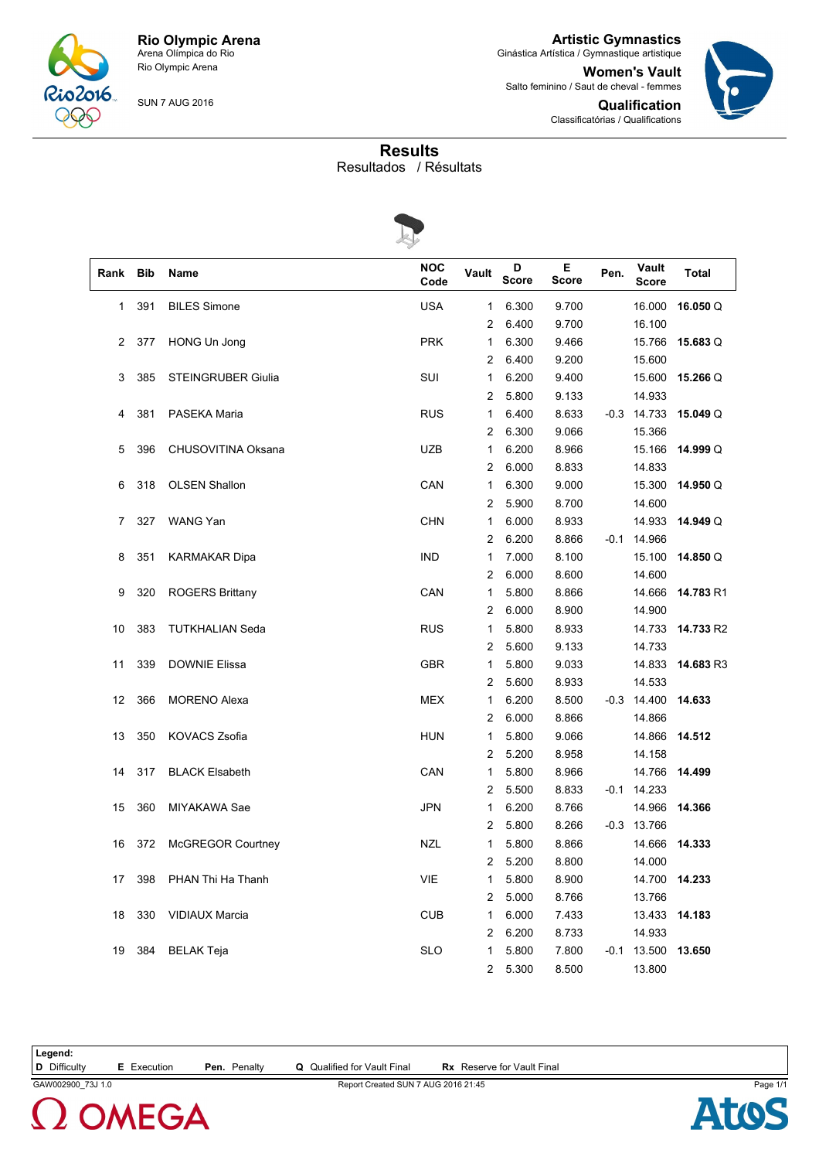

**Artistic Gymnastics** Ginástica Artística / Gymnastique artistique

**Women's Vault** Salto feminino / Saut de cheval - femmes

> **Qualification** Classificatórias / Qualifications



SUN 7 AUG 2016

**Results**

Resultados / Résultats



| Rank | <b>Bib</b> | Name                      | <b>NOC</b><br>Code | Vault          | D<br><b>Score</b> | Е<br><b>Score</b> | Pen. | Vault<br><b>Score</b> | <b>Total</b> |
|------|------------|---------------------------|--------------------|----------------|-------------------|-------------------|------|-----------------------|--------------|
| 1    | 391        | <b>BILES Simone</b>       | <b>USA</b>         | 1              | 6.300             | 9.700             |      | 16.000                | 16.050Q      |
|      |            |                           |                    | 2              | 6.400             | 9.700             |      | 16.100                |              |
| 2    | 377        | HONG Un Jong              | <b>PRK</b>         | 1              | 6.300             | 9.466             |      | 15.766                | 15.683 Q     |
|      |            |                           |                    | 2              | 6.400             | 9.200             |      | 15.600                |              |
| 3    | 385        | <b>STEINGRUBER Giulia</b> | SUI                | 1              | 6.200             | 9.400             |      | 15.600                | 15.266 Q     |
|      |            |                           |                    | 2              | 5.800             | 9.133             |      | 14.933                |              |
| 4    | 381        | PASEKA Maria              | <b>RUS</b>         | 1              | 6.400             | 8.633             |      | $-0.3$ 14.733         | 15.049 Q     |
|      |            |                           |                    | 2              | 6.300             | 9.066             |      | 15.366                |              |
| 5    | 396        | CHUSOVITINA Oksana        | <b>UZB</b>         | 1              | 6.200             | 8.966             |      | 15.166                | 14.999 Q     |
|      |            |                           |                    | 2              | 6.000             | 8.833             |      | 14.833                |              |
| 6    | 318        | <b>OLSEN Shallon</b>      | CAN                | 1              | 6.300             | 9.000             |      | 15.300                | 14.950 Q     |
|      |            |                           |                    | 2              | 5.900             | 8.700             |      | 14.600                |              |
| 7    | 327        | WANG Yan                  | <b>CHN</b>         | 1              | 6.000             | 8.933             |      | 14.933                | 14.949 Q     |
|      |            |                           |                    | 2              | 6.200             | 8.866             |      | $-0.1$ 14.966         |              |
| 8    | 351        | <b>KARMAKAR Dipa</b>      | <b>IND</b>         | 1              | 7.000             | 8.100             |      | 15.100                | 14.850 Q     |
|      |            |                           |                    | 2              | 6.000             | 8.600             |      | 14.600                |              |
| 9    | 320        | <b>ROGERS Brittany</b>    | CAN                | 1              | 5.800             | 8.866             |      | 14.666                | 14.783 R1    |
|      |            |                           |                    | 2              | 6.000             | 8.900             |      | 14.900                |              |
| 10   | 383        | <b>TUTKHALIAN Seda</b>    | <b>RUS</b>         | 1              | 5.800             | 8.933             |      | 14.733                | 14.733 R2    |
|      |            |                           |                    | 2              | 5.600             | 9.133             |      | 14.733                |              |
| 11   | 339        | <b>DOWNIE Elissa</b>      | <b>GBR</b>         | 1              | 5.800             | 9.033             |      | 14.833                | 14.683 R3    |
|      |            |                           |                    | 2              | 5.600             | 8.933             |      | 14.533                |              |
| 12   | 366        | <b>MORENO Alexa</b>       | <b>MEX</b>         | 1              | 6.200             | 8.500             |      | $-0.3$ 14.400         | 14.633       |
|      |            |                           |                    | 2              | 6.000             | 8.866             |      | 14.866                |              |
| 13   | 350        | <b>KOVACS Zsofia</b>      | <b>HUN</b>         | 1              | 5.800             | 9.066             |      | 14.866                | 14.512       |
|      |            |                           |                    | 2              | 5.200             | 8.958             |      | 14.158                |              |
| 14   | 317        | <b>BLACK Elsabeth</b>     | CAN                | 1              | 5.800             | 8.966             |      | 14.766                | 14.499       |
|      |            |                           |                    | 2              | 5.500             | 8.833             |      | $-0.1$ 14.233         |              |
| 15   | 360        | MIYAKAWA Sae              | <b>JPN</b>         | 1              | 6.200             | 8.766             |      | 14.966                | 14.366       |
|      |            |                           |                    | 2              | 5.800             | 8.266             |      | $-0.3$ 13.766         |              |
| 16   | 372        | <b>McGREGOR Courtney</b>  | <b>NZL</b>         | 1              | 5.800             | 8.866             |      | 14.666                | 14.333       |
|      |            |                           |                    | $\overline{c}$ | 5.200             | 8.800             |      | 14.000                |              |
| 17   | 398        | PHAN Thi Ha Thanh         | VIE                | 1              | 5.800             | 8.900             |      | 14.700 14.233         |              |
|      |            |                           |                    | 2              | 5.000             | 8.766             |      | 13.766                |              |
| 18   | 330        | <b>VIDIAUX Marcia</b>     | <b>CUB</b>         | 1              | 6.000             | 7.433             |      | 13.433                | 14.183       |
|      |            |                           |                    | 2              | 6.200             | 8.733             |      | 14.933                |              |
| 19   | 384        | <b>BELAK Teja</b>         | <b>SLO</b>         | 1              | 5.800             | 7.800             |      | $-0.1$ 13.500         | 13.650       |
|      |            |                           |                    | 2              | 5.300             | 8.500             |      | 13.800                |              |
|      |            |                           |                    |                |                   |                   |      |                       |              |

**OMEGA** 

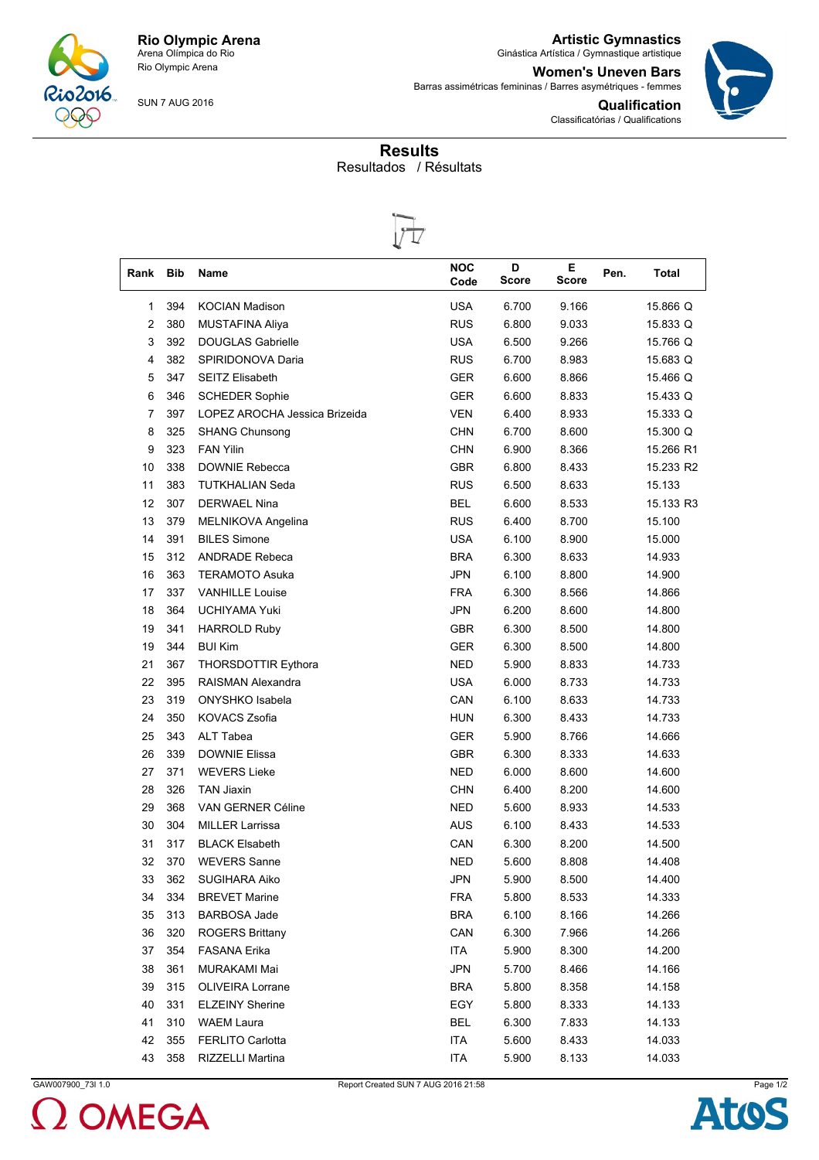

**Artistic Gymnastics** Ginástica Artística / Gymnastique artistique

> **Qualification** Classificatórias / Qualifications

**Women's Uneven Bars** Barras assimétricas femininas / Barres asymétriques - femmes



SUN 7 AUG 2016

## **Results** Resultados / Résultats



| Rank           | <b>Bib</b> | Name                          | <b>NOC</b><br>Code | D<br><b>Score</b> | Е.<br><b>Score</b> | Pen. | <b>Total</b> |
|----------------|------------|-------------------------------|--------------------|-------------------|--------------------|------|--------------|
| 1              | 394        | <b>KOCIAN Madison</b>         | <b>USA</b>         | 6.700             | 9.166              |      | 15.866 Q     |
| $\overline{c}$ | 380        | <b>MUSTAFINA Aliya</b>        | <b>RUS</b>         | 6.800             | 9.033              |      | 15.833 Q     |
| 3              | 392        | <b>DOUGLAS Gabrielle</b>      | <b>USA</b>         | 6.500             | 9.266              |      | 15.766 Q     |
| 4              | 382        | SPIRIDONOVA Daria             | <b>RUS</b>         | 6.700             | 8.983              |      | 15.683 Q     |
| 5              | 347        | <b>SEITZ Elisabeth</b>        | <b>GER</b>         | 6.600             | 8.866              |      | 15.466 Q     |
| 6              | 346        | <b>SCHEDER Sophie</b>         | GER                | 6.600             | 8.833              |      | 15.433 Q     |
| 7              | 397        | LOPEZ AROCHA Jessica Brizeida | <b>VEN</b>         | 6.400             | 8.933              |      | 15.333 Q     |
| 8              | 325        | <b>SHANG Chunsong</b>         | <b>CHN</b>         | 6.700             | 8.600              |      | 15.300 Q     |
| 9              | 323        | <b>FAN Yilin</b>              | <b>CHN</b>         | 6.900             | 8.366              |      | 15.266 R1    |
| 10             | 338        | DOWNIE Rebecca                | <b>GBR</b>         | 6.800             | 8.433              |      | 15.233 R2    |
| 11             | 383        | <b>TUTKHALIAN Seda</b>        | <b>RUS</b>         | 6.500             | 8.633              |      | 15.133       |
| 12             | 307        | <b>DERWAEL Nina</b>           | <b>BEL</b>         | 6.600             | 8.533              |      | 15.133 R3    |
| 13             | 379        | MELNIKOVA Angelina            | <b>RUS</b>         | 6.400             | 8.700              |      | 15.100       |
| 14             | 391        | <b>BILES Simone</b>           | <b>USA</b>         | 6.100             | 8.900              |      | 15.000       |
| 15             | 312        | <b>ANDRADE Rebeca</b>         | <b>BRA</b>         | 6.300             | 8.633              |      | 14.933       |
| 16             | 363        | <b>TERAMOTO Asuka</b>         | <b>JPN</b>         | 6.100             | 8.800              |      | 14.900       |
| 17             | 337        | <b>VANHILLE Louise</b>        | <b>FRA</b>         | 6.300             | 8.566              |      | 14.866       |
| 18             | 364        | <b>UCHIYAMA Yuki</b>          | <b>JPN</b>         | 6.200             | 8.600              |      | 14.800       |
| 19             | 341        | <b>HARROLD Ruby</b>           | <b>GBR</b>         | 6.300             | 8.500              |      | 14.800       |
| 19             | 344        | <b>BUI Kim</b>                | <b>GER</b>         | 6.300             | 8.500              |      | 14.800       |
| 21             | 367        | <b>THORSDOTTIR Eythora</b>    | <b>NED</b>         | 5.900             | 8.833              |      | 14.733       |
| 22             | 395        | RAISMAN Alexandra             | <b>USA</b>         | 6.000             | 8.733              |      | 14.733       |
| 23             | 319        | ONYSHKO Isabela               | CAN                | 6.100             | 8.633              |      | 14.733       |
| 24             | 350        | <b>KOVACS Zsofia</b>          | <b>HUN</b>         | 6.300             | 8.433              |      | 14.733       |
| 25             | 343        | ALT Tabea                     | <b>GER</b>         | 5.900             | 8.766              |      | 14.666       |
| 26             | 339        | <b>DOWNIE Elissa</b>          | <b>GBR</b>         | 6.300             | 8.333              |      | 14.633       |
| 27             | 371        | <b>WEVERS Lieke</b>           | <b>NED</b>         | 6.000             | 8.600              |      | 14.600       |
| 28             | 326        | <b>TAN Jiaxin</b>             | <b>CHN</b>         | 6.400             | 8.200              |      | 14.600       |
| 29             | 368        | <b>VAN GERNER Céline</b>      | NED                | 5.600             | 8.933              |      | 14.533       |
| 30             | 304        | <b>MILLER Larrissa</b>        | <b>AUS</b>         | 6.100             | 8.433              |      | 14.533       |
| 31             | 317        | <b>BLACK Elsabeth</b>         | CAN                | 6.300             | 8.200              |      | 14.500       |
| 32             | 370        | <b>WEVERS Sanne</b>           | <b>NED</b>         | 5.600             | 8.808              |      | 14.408       |
| 33             | 362        | SUGIHARA Aiko                 | <b>JPN</b>         | 5.900             | 8.500              |      | 14.400       |
| 34             | 334        | <b>BREVET Marine</b>          | <b>FRA</b>         | 5.800             | 8.533              |      | 14.333       |
| 35             | 313        | <b>BARBOSA Jade</b>           | <b>BRA</b>         | 6.100             | 8.166              |      | 14.266       |
| 36             | 320        | <b>ROGERS Brittany</b>        | CAN                | 6.300             | 7.966              |      | 14.266       |
| 37             | 354        | <b>FASANA Erika</b>           | ITA                | 5.900             | 8.300              |      | 14.200       |
| 38             | 361        | MURAKAMI Mai                  | <b>JPN</b>         | 5.700             | 8.466              |      | 14.166       |
| 39             | 315        | OLIVEIRA Lorrane              | <b>BRA</b>         | 5.800             | 8.358              |      | 14.158       |
| 40             | 331        | <b>ELZEINY Sherine</b>        | EGY                | 5.800             | 8.333              |      | 14.133       |
| 41             | 310        | <b>WAEM Laura</b>             | <b>BEL</b>         | 6.300             | 7.833              |      | 14.133       |
| 42             | 355        | <b>FERLITO Carlotta</b>       | ITA                | 5.600             | 8.433              |      | 14.033       |
| 43             | 358        | RIZZELLI Martina              | <b>ITA</b>         | 5.900             | 8.133              |      | 14.033       |



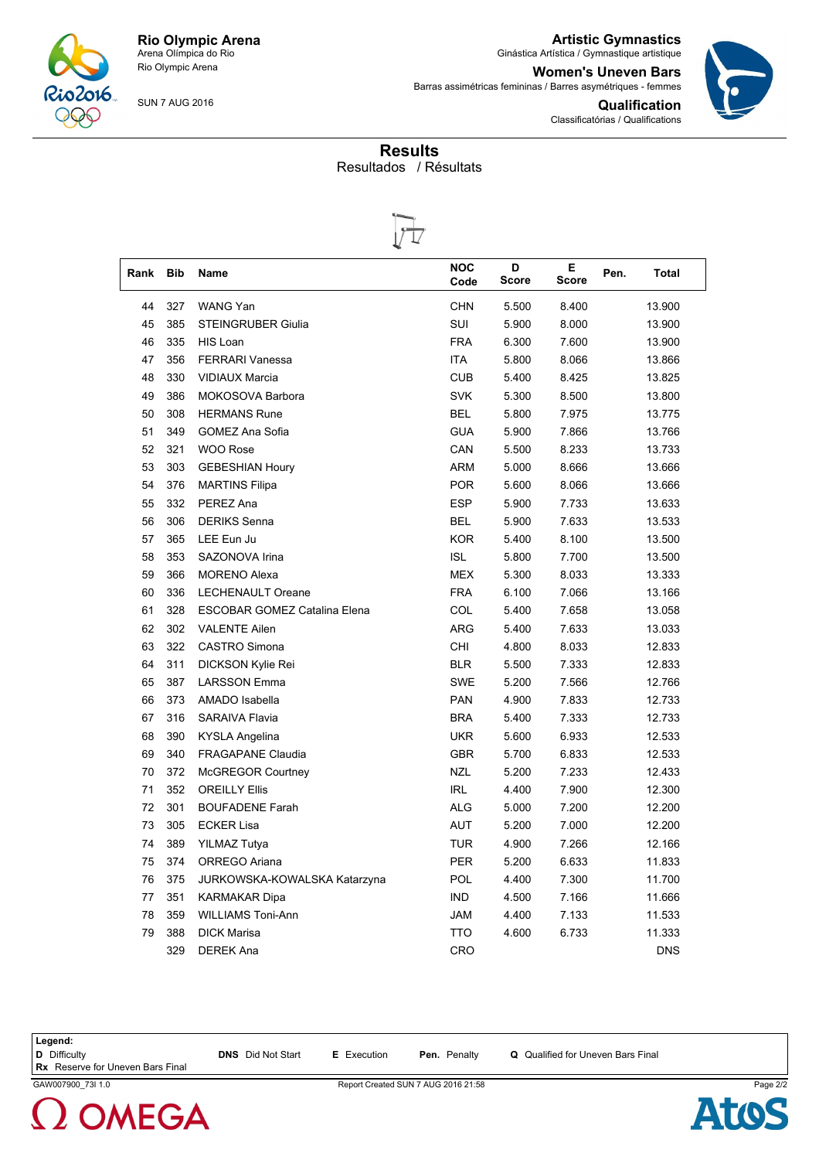

**Artistic Gymnastics** Ginástica Artística / Gymnastique artistique

**Qualification**

Classificatórias / Qualifications

**Women's Uneven Bars** Barras assimétricas femininas / Barres asymétriques - femmes



SUN 7 AUG 2016

## **Results** Resultados / Résultats



| Rank | <b>Bib</b> | Name                                | <b>NOC</b><br>Code | D<br><b>Score</b> | Е<br>Score | Pen.<br><b>Total</b> |
|------|------------|-------------------------------------|--------------------|-------------------|------------|----------------------|
| 44   | 327        | <b>WANG Yan</b>                     | <b>CHN</b>         | 5.500             | 8.400      | 13.900               |
| 45   | 385        | <b>STEINGRUBER Giulia</b>           | SUI                | 5.900             | 8.000      | 13.900               |
| 46   | 335        | HIS Loan                            | <b>FRA</b>         | 6.300             | 7.600      | 13.900               |
| 47   | 356        | <b>FERRARI Vanessa</b>              | <b>ITA</b>         | 5.800             | 8.066      | 13.866               |
| 48   | 330        | <b>VIDIAUX Marcia</b>               | <b>CUB</b>         | 5.400             | 8.425      | 13.825               |
| 49   | 386        | MOKOSOVA Barbora                    | <b>SVK</b>         | 5.300             | 8.500      | 13.800               |
| 50   | 308        | <b>HERMANS Rune</b>                 | <b>BEL</b>         | 5.800             | 7.975      | 13.775               |
| 51   | 349        | <b>GOMEZ Ana Sofia</b>              | <b>GUA</b>         | 5.900             | 7.866      | 13.766               |
| 52   | 321        | <b>WOO Rose</b>                     | CAN                | 5.500             | 8.233      | 13.733               |
| 53   | 303        | <b>GEBESHIAN Houry</b>              | ARM                | 5.000             | 8.666      | 13.666               |
| 54   | 376        | <b>MARTINS Filipa</b>               | <b>POR</b>         | 5.600             | 8.066      | 13.666               |
| 55   | 332        | PEREZ Ana                           | <b>ESP</b>         | 5.900             | 7.733      | 13.633               |
| 56   | 306        | <b>DERIKS Senna</b>                 | <b>BEL</b>         | 5.900             | 7.633      | 13.533               |
| 57   | 365        | LEE Eun Ju                          | <b>KOR</b>         | 5.400             | 8.100      | 13.500               |
| 58   | 353        | SAZONOVA Irina                      | <b>ISL</b>         | 5.800             | 7.700      | 13.500               |
| 59   | 366        | <b>MORENO Alexa</b>                 | <b>MEX</b>         | 5.300             | 8.033      | 13.333               |
| 60   | 336        | LECHENAULT Oreane                   | <b>FRA</b>         | 6.100             | 7.066      | 13.166               |
| 61   | 328        | <b>ESCOBAR GOMEZ Catalina Elena</b> | COL                | 5.400             | 7.658      | 13.058               |
| 62   | 302        | <b>VALENTE Ailen</b>                | <b>ARG</b>         | 5.400             | 7.633      | 13.033               |
| 63   | 322        | CASTRO Simona                       | CHI                | 4.800             | 8.033      | 12.833               |
| 64   | 311        | DICKSON Kylie Rei                   | <b>BLR</b>         | 5.500             | 7.333      | 12.833               |
| 65   | 387        | <b>LARSSON Emma</b>                 | <b>SWE</b>         | 5.200             | 7.566      | 12.766               |
| 66   | 373        | AMADO Isabella                      | <b>PAN</b>         | 4.900             | 7.833      | 12.733               |
| 67   | 316        | SARAIVA Flavia                      | <b>BRA</b>         | 5.400             | 7.333      | 12.733               |
| 68   | 390        | KYSLA Angelina                      | <b>UKR</b>         | 5.600             | 6.933      | 12.533               |
| 69   | 340        | <b>FRAGAPANE Claudia</b>            | <b>GBR</b>         | 5.700             | 6.833      | 12.533               |
| 70   | 372        | <b>McGREGOR Courtney</b>            | <b>NZL</b>         | 5.200             | 7.233      | 12.433               |
| 71   | 352        | <b>OREILLY Ellis</b>                | <b>IRL</b>         | 4.400             | 7.900      | 12.300               |
| 72   | 301        | <b>BOUFADENE Farah</b>              | <b>ALG</b>         | 5.000             | 7.200      | 12.200               |
| 73   | 305        | <b>ECKER Lisa</b>                   | AUT                | 5.200             | 7.000      | 12.200               |
| 74   | 389        | <b>YILMAZ Tutya</b>                 | <b>TUR</b>         | 4.900             | 7.266      | 12.166               |
| 75   | 374        | ORREGO Ariana                       | <b>PER</b>         | 5.200             | 6.633      | 11.833               |
| 76   | 375        | JURKOWSKA-KOWALSKA Katarzyna        | <b>POL</b>         | 4.400             | 7.300      | 11.700               |
| 77   | 351        | KARMAKAR Dipa                       | <b>IND</b>         | 4.500             | 7.166      | 11.666               |
| 78   | 359        | <b>WILLIAMS Toni-Ann</b>            | <b>JAM</b>         | 4.400             | 7.133      | 11.533               |
| 79   | 388        | <b>DICK Marisa</b>                  | <b>TTO</b>         | 4.600             | 6.733      | 11.333               |
|      | 329        | <b>DEREK Ana</b>                    | <b>CRO</b>         |                   |            | <b>DNS</b>           |

**Legend:**

**D** Difficulty **DNS** Did Not Start **E** Execution **Pen.** Penalty **Q** Qualified for Uneven Bars Final

**Rx** Reserve for Uneven Bars Final



GAW007900\_73I 1.0 Report Created SUN 7 AUG 2016 21:58 Page 2/2

**Atos**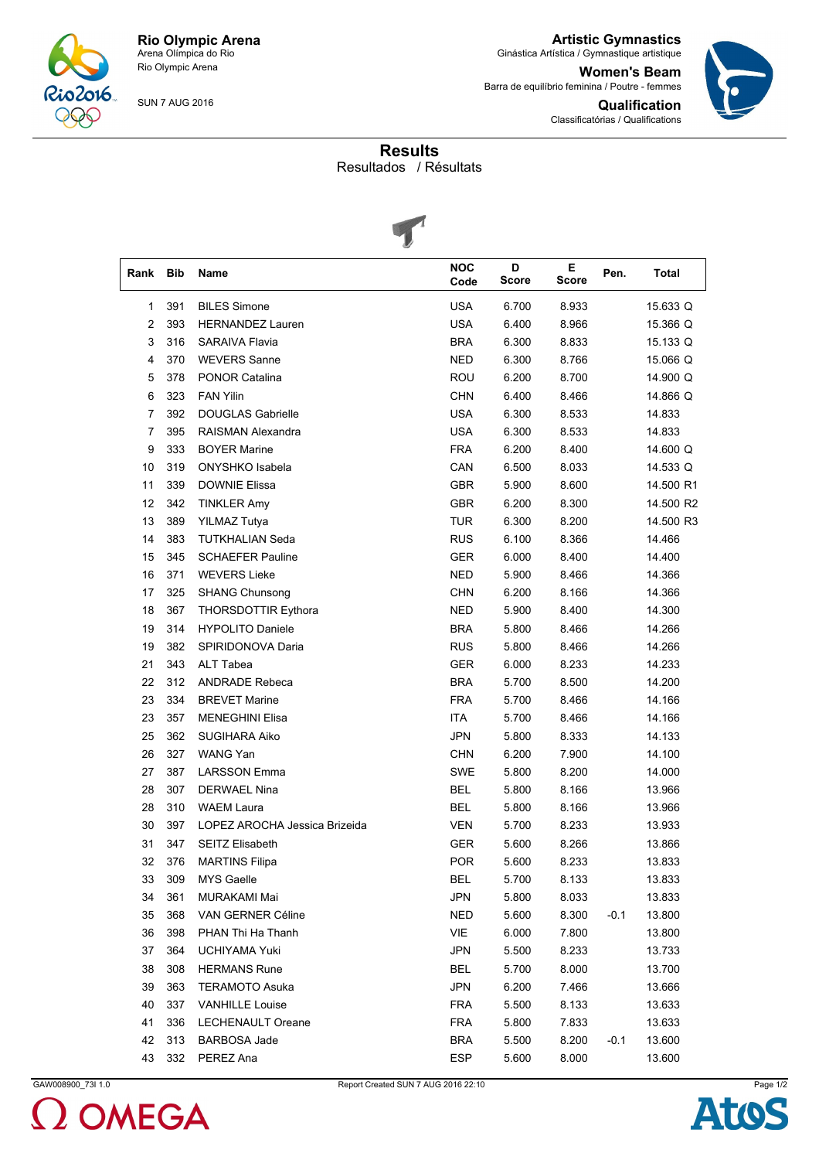

**Artistic Gymnastics** Ginástica Artística / Gymnastique artistique

**Women's Beam** Barra de equilíbrio feminina / Poutre - femmes



**Qualification** Classificatórias / Qualifications

## **Results**

Resultados / Résultats



|      |     | $\tilde{\phantom{a}}$         |                    |                   |                   |      |              |
|------|-----|-------------------------------|--------------------|-------------------|-------------------|------|--------------|
| Rank | Bib | Name                          | <b>NOC</b><br>Code | D<br><b>Score</b> | Е<br><b>Score</b> | Pen. | <b>Total</b> |
| 1    | 391 | <b>BILES Simone</b>           | <b>USA</b>         | 6.700             | 8.933             |      | 15.633 Q     |
| 2    | 393 | <b>HERNANDEZ Lauren</b>       | <b>USA</b>         | 6.400             | 8.966             |      | 15.366 Q     |
| 3    | 316 | <b>SARAIVA Flavia</b>         | <b>BRA</b>         | 6.300             | 8.833             |      | 15.133 Q     |
| 4    | 370 | <b>WEVERS Sanne</b>           | <b>NED</b>         | 6.300             | 8.766             |      | 15.066 Q     |
| 5    | 378 | <b>PONOR Catalina</b>         | <b>ROU</b>         | 6.200             | 8.700             |      | 14.900 Q     |
| 6    | 323 | <b>FAN Yilin</b>              | <b>CHN</b>         | 6.400             | 8.466             |      | 14.866 Q     |
| 7    | 392 | <b>DOUGLAS Gabrielle</b>      | <b>USA</b>         | 6.300             | 8.533             |      | 14.833       |
| 7    | 395 | RAISMAN Alexandra             | <b>USA</b>         | 6.300             | 8.533             |      | 14.833       |
| 9    | 333 | <b>BOYER Marine</b>           | <b>FRA</b>         | 6.200             | 8.400             |      | 14.600 Q     |
| 10   | 319 | ONYSHKO Isabela               | CAN                | 6.500             | 8.033             |      | 14.533 Q     |
| 11   | 339 | <b>DOWNIE Elissa</b>          | <b>GBR</b>         | 5.900             | 8.600             |      | 14.500 R1    |
| 12   | 342 | <b>TINKLER Amy</b>            | <b>GBR</b>         | 6.200             | 8.300             |      | 14.500 R2    |
| 13   | 389 | <b>YILMAZ Tutya</b>           | <b>TUR</b>         | 6.300             | 8.200             |      | 14.500 R3    |
| 14   | 383 | <b>TUTKHALIAN Seda</b>        | <b>RUS</b>         | 6.100             | 8.366             |      | 14.466       |
| 15   | 345 | <b>SCHAEFER Pauline</b>       | <b>GER</b>         | 6.000             | 8.400             |      | 14.400       |
| 16   | 371 | <b>WEVERS Lieke</b>           | <b>NED</b>         | 5.900             | 8.466             |      | 14.366       |
| 17   | 325 | <b>SHANG Chunsong</b>         | CHN                | 6.200             | 8.166             |      | 14.366       |
| 18   | 367 | <b>THORSDOTTIR Eythora</b>    | <b>NED</b>         | 5.900             | 8.400             |      | 14.300       |
| 19   | 314 | <b>HYPOLITO Daniele</b>       | <b>BRA</b>         | 5.800             | 8.466             |      | 14.266       |
| 19   | 382 | SPIRIDONOVA Daria             | <b>RUS</b>         | 5.800             | 8.466             |      | 14.266       |
| 21   | 343 | ALT Tabea                     | <b>GER</b>         | 6.000             | 8.233             |      | 14.233       |
| 22   | 312 | <b>ANDRADE Rebeca</b>         | <b>BRA</b>         | 5.700             | 8.500             |      | 14.200       |
| 23   | 334 | <b>BREVET Marine</b>          | FRA                | 5.700             | 8.466             |      | 14.166       |
| 23   | 357 | <b>MENEGHINI Elisa</b>        | <b>ITA</b>         | 5.700             | 8.466             |      | 14.166       |
| 25   | 362 | <b>SUGIHARA Aiko</b>          | <b>JPN</b>         | 5.800             | 8.333             |      | 14.133       |
| 26   | 327 | WANG Yan                      | CHN                | 6.200             | 7.900             |      | 14.100       |
| 27   | 387 | <b>LARSSON Emma</b>           | <b>SWE</b>         | 5.800             | 8.200             |      | 14.000       |
| 28   | 307 | <b>DERWAEL Nina</b>           | <b>BEL</b>         | 5.800             | 8.166             |      | 13.966       |
| 28   | 310 | <b>WAEM Laura</b>             | <b>BEL</b>         | 5.800             | 8.166             |      | 13.966       |
| 30   | 397 | LOPEZ AROCHA Jessica Brizeida | <b>VEN</b>         | 5.700             | 8.233             |      | 13.933       |
| 31   | 347 | SEITZ Elisabeth               | GER                | 5.600             | 8.266             |      | 13.866       |
| 32   | 376 | <b>MARTINS Filipa</b>         | <b>POR</b>         | 5.600             | 8.233             |      | 13.833       |
| 33   | 309 | MYS Gaelle                    | BEL                | 5.700             | 8.133             |      | 13.833       |
| 34   | 361 | MURAKAMI Mai                  | <b>JPN</b>         | 5.800             | 8.033             |      | 13.833       |
| 35   | 368 | VAN GERNER Céline             | <b>NED</b>         | 5.600             | 8.300             | -0.1 | 13.800       |
| 36   | 398 | PHAN Thi Ha Thanh             | VIE                | 6.000             | 7.800             |      | 13.800       |
| 37   | 364 | UCHIYAMA Yuki                 | JPN                | 5.500             | 8.233             |      | 13.733       |
| 38   | 308 | <b>HERMANS Rune</b>           | <b>BEL</b>         | 5.700             | 8.000             |      | 13.700       |
| 39   | 363 | <b>TERAMOTO Asuka</b>         | JPN                | 6.200             | 7.466             |      | 13.666       |
| 40   | 337 | <b>VANHILLE Louise</b>        | <b>FRA</b>         | 5.500             | 8.133             |      | 13.633       |
| 41   | 336 | LECHENAULT Oreane             | <b>FRA</b>         | 5.800             | 7.833             |      | 13.633       |
| 42   | 313 | BARBOSA Jade                  | <b>BRA</b>         | 5.500             | 8.200             | -0.1 | 13.600       |
| 43   | 332 | PEREZ Ana                     | <b>ESP</b>         | 5.600             | 8.000             |      | 13.600       |



GAW008900\_73I 1.0 Report Created SUN 7 AUG 2016 22:10 Page 1/2

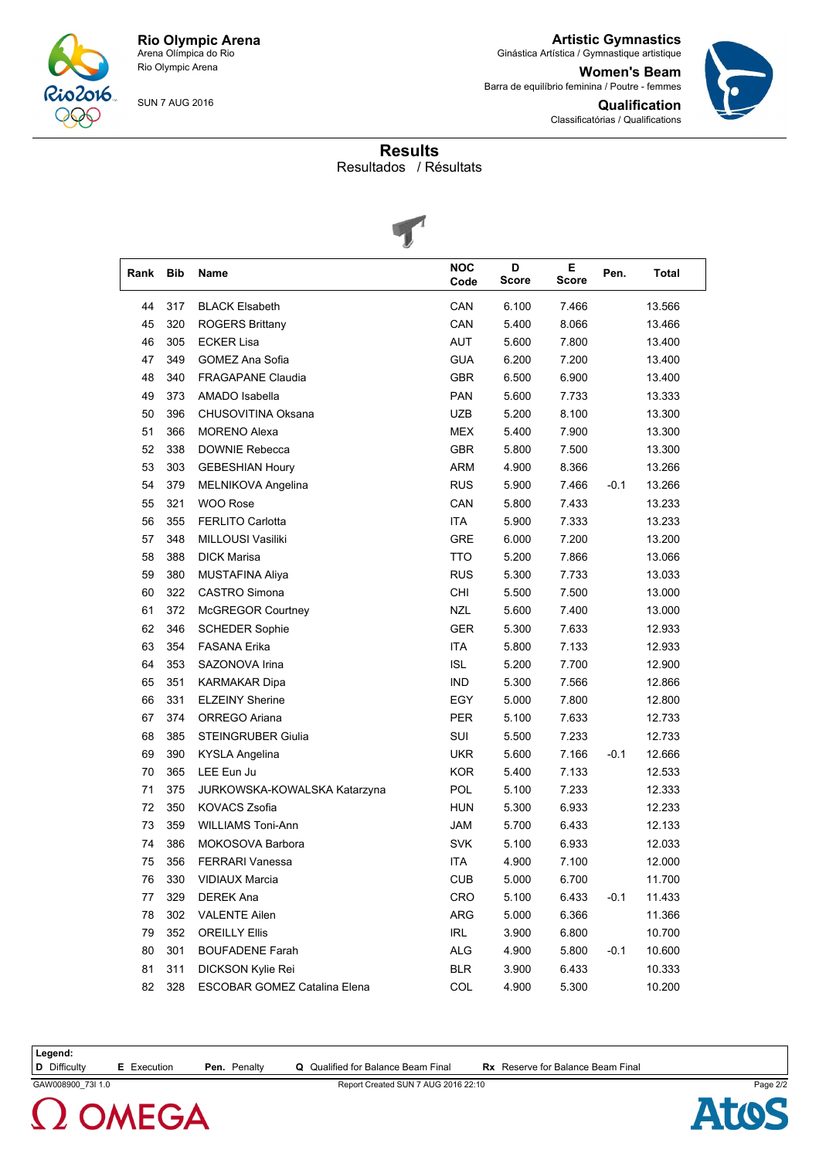

**Artistic Gymnastics** Ginástica Artística / Gymnastique artistique

**Women's Beam** Barra de equilíbrio feminina / Poutre - femmes **Qualification**

Classificatórias / Qualifications



**Results**

Resultados / Résultats



|      |     | $\tilde{\phantom{a}}$        |                    |                   |             |        |              |
|------|-----|------------------------------|--------------------|-------------------|-------------|--------|--------------|
| Rank | Bib | Name                         | <b>NOC</b><br>Code | D<br><b>Score</b> | E.<br>Score | Pen.   | <b>Total</b> |
| 44   | 317 | <b>BLACK Elsabeth</b>        | CAN                | 6.100             | 7.466       |        | 13.566       |
| 45   | 320 | <b>ROGERS Brittany</b>       | CAN                | 5.400             | 8.066       |        | 13.466       |
| 46   | 305 | <b>ECKER Lisa</b>            | <b>AUT</b>         | 5.600             | 7.800       |        | 13.400       |
| 47   | 349 | GOMEZ Ana Sofia              | <b>GUA</b>         | 6.200             | 7.200       |        | 13.400       |
| 48   | 340 | <b>FRAGAPANE Claudia</b>     | <b>GBR</b>         | 6.500             | 6.900       |        | 13.400       |
| 49   | 373 | AMADO Isabella               | PAN                | 5.600             | 7.733       |        | 13.333       |
| 50   | 396 | CHUSOVITINA Oksana           | UZB                | 5.200             | 8.100       |        | 13.300       |
| 51   | 366 | <b>MORENO Alexa</b>          | <b>MEX</b>         | 5.400             | 7.900       |        | 13.300       |
| 52   | 338 | DOWNIE Rebecca               | <b>GBR</b>         | 5.800             | 7.500       |        | 13.300       |
| 53   | 303 | <b>GEBESHIAN Houry</b>       | <b>ARM</b>         | 4.900             | 8.366       |        | 13.266       |
| 54   | 379 | MELNIKOVA Angelina           | <b>RUS</b>         | 5.900             | 7.466       | $-0.1$ | 13.266       |
| 55   | 321 | <b>WOO Rose</b>              | CAN                | 5.800             | 7.433       |        | 13.233       |
| 56   | 355 | <b>FERLITO Carlotta</b>      | <b>ITA</b>         | 5.900             | 7.333       |        | 13.233       |
| 57   | 348 | MILLOUSI Vasiliki            | <b>GRE</b>         | 6.000             | 7.200       |        | 13.200       |
| 58   | 388 | <b>DICK Marisa</b>           | TTO                | 5.200             | 7.866       |        | 13.066       |
| 59   | 380 | <b>MUSTAFINA Aliya</b>       | <b>RUS</b>         | 5.300             | 7.733       |        | 13.033       |
| 60   | 322 | CASTRO Simona                | CHI                | 5.500             | 7.500       |        | 13.000       |
| 61   | 372 | <b>McGREGOR Courtney</b>     | <b>NZL</b>         | 5.600             | 7.400       |        | 13.000       |
| 62   | 346 | <b>SCHEDER Sophie</b>        | <b>GER</b>         | 5.300             | 7.633       |        | 12.933       |
| 63   | 354 | <b>FASANA Erika</b>          | <b>ITA</b>         | 5.800             | 7.133       |        | 12.933       |
| 64   | 353 | SAZONOVA Irina               | <b>ISL</b>         | 5.200             | 7.700       |        | 12.900       |
| 65   | 351 | <b>KARMAKAR Dipa</b>         | <b>IND</b>         | 5.300             | 7.566       |        | 12.866       |
| 66   | 331 | <b>ELZEINY Sherine</b>       | EGY                | 5.000             | 7.800       |        | 12.800       |
| 67   | 374 | ORREGO Ariana                | PER                | 5.100             | 7.633       |        | 12.733       |
| 68   | 385 | <b>STEINGRUBER Giulia</b>    | SUI                | 5.500             | 7.233       |        | 12.733       |
| 69   | 390 | <b>KYSLA Angelina</b>        | <b>UKR</b>         | 5.600             | 7.166       | $-0.1$ | 12.666       |
| 70   | 365 | LEE Eun Ju                   | <b>KOR</b>         | 5.400             | 7.133       |        | 12.533       |
| 71   | 375 | JURKOWSKA-KOWALSKA Katarzyna | POL                | 5.100             | 7.233       |        | 12.333       |
| 72   | 350 | <b>KOVACS Zsofia</b>         | <b>HUN</b>         | 5.300             | 6.933       |        | 12.233       |
| 73   | 359 | <b>WILLIAMS Toni-Ann</b>     | <b>JAM</b>         | 5.700             | 6.433       |        | 12.133       |
| 74   | 386 | MOKOSOVA Barbora             | <b>SVK</b>         | 5.100             | 6.933       |        | 12.033       |
| 75   | 356 | <b>FERRARI Vanessa</b>       | <b>ITA</b>         | 4.900             | 7.100       |        | 12.000       |
| 76   | 330 | <b>VIDIAUX Marcia</b>        | <b>CUB</b>         | 5.000             | 6.700       |        | 11.700       |
| 77   | 329 | <b>DEREK Ana</b>             | CRO                | 5.100             | 6.433       | $-0.1$ | 11.433       |
| 78   | 302 | <b>VALENTE Ailen</b>         | ARG                | 5.000             | 6.366       |        | 11.366       |
| 79   | 352 | <b>OREILLY Ellis</b>         | IRL                | 3.900             | 6.800       |        | 10.700       |
| 80   | 301 | <b>BOUFADENE Farah</b>       | ALG                | 4.900             | 5.800       | $-0.1$ | 10.600       |
| 81   | 311 | DICKSON Kylie Rei            | <b>BLR</b>         | 3.900             | 6.433       |        | 10.333       |
| 82   | 328 | ESCOBAR GOMEZ Catalina Elena | COL                | 4.900             | 5.300       |        | 10.200       |

**Legend:**

**D** Difficulty **E** Execution **Pen.** Penalty **Q** Qualified for Balance Beam Final **Rx** Reserve for Balance Beam Final

GAW008900\_73I 1.0 Report Created SUN 7 AUG 2016 22:10 Page 2/2

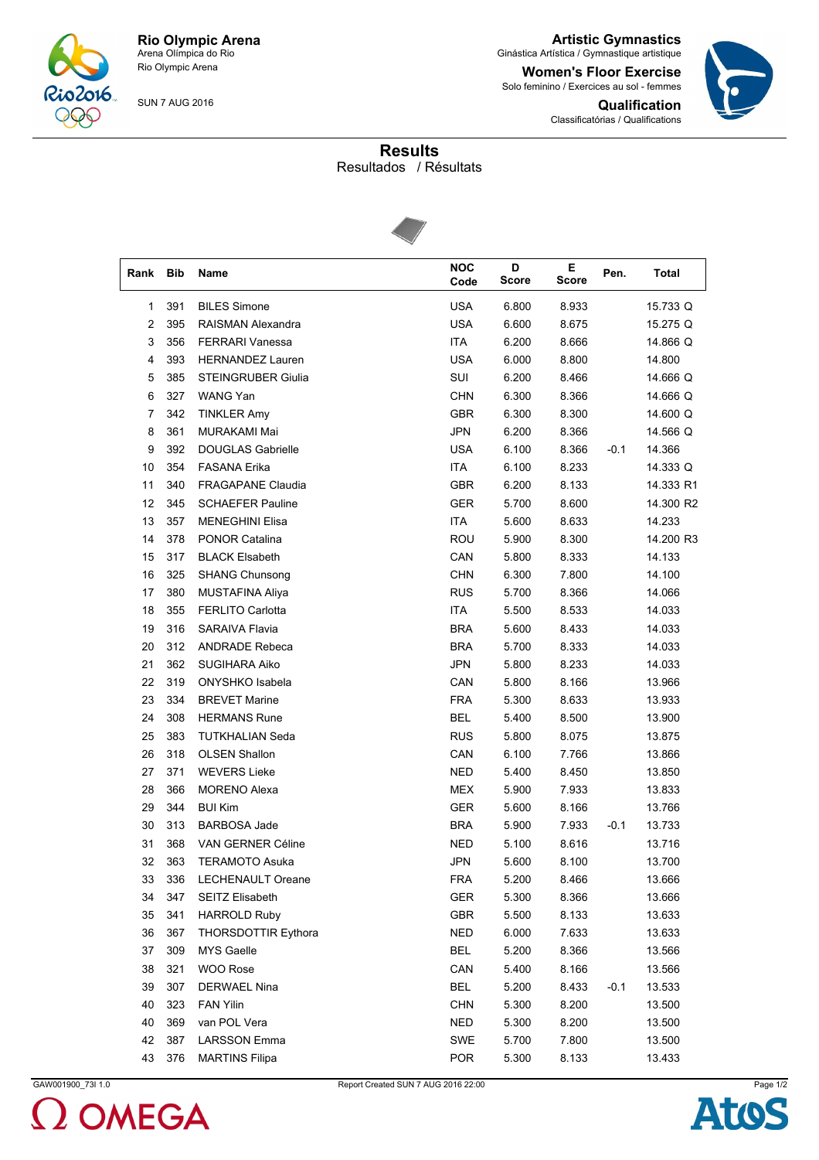

**Artistic Gymnastics** Ginástica Artística / Gymnastique artistique

**Women's Floor Exercise** Solo feminino / Exercices au sol - femmes





**Results**

Resultados / Résultats



| Rank | <b>Bib</b> | Name                       | <b>NOC</b> | D     | Е.    | Pen.   | <b>Total</b> |
|------|------------|----------------------------|------------|-------|-------|--------|--------------|
|      |            |                            | Code       | Score | Score |        |              |
| 1    | 391        | <b>BILES Simone</b>        | <b>USA</b> | 6.800 | 8.933 |        | 15.733 Q     |
| 2    | 395        | RAISMAN Alexandra          | <b>USA</b> | 6.600 | 8.675 |        | 15.275 Q     |
| 3    | 356        | <b>FERRARI Vanessa</b>     | <b>ITA</b> | 6.200 | 8.666 |        | 14.866 Q     |
| 4    | 393        | <b>HERNANDEZ Lauren</b>    | <b>USA</b> | 6.000 | 8.800 |        | 14.800       |
| 5    | 385        | <b>STEINGRUBER Giulia</b>  | SUI        | 6.200 | 8.466 |        | 14.666 Q     |
| 6    | 327        | WANG Yan                   | <b>CHN</b> | 6.300 | 8.366 |        | 14.666 Q     |
| 7    | 342        | <b>TINKLER Amy</b>         | <b>GBR</b> | 6.300 | 8.300 |        | 14.600 Q     |
| 8    | 361        | <b>MURAKAMI Mai</b>        | <b>JPN</b> | 6.200 | 8.366 |        | 14.566 Q     |
| 9    | 392        | <b>DOUGLAS Gabrielle</b>   | <b>USA</b> | 6.100 | 8.366 | $-0.1$ | 14.366       |
| 10   | 354        | <b>FASANA Erika</b>        | <b>ITA</b> | 6.100 | 8.233 |        | 14.333 Q     |
| 11   | 340        | <b>FRAGAPANE Claudia</b>   | GBR        | 6.200 | 8.133 |        | 14.333 R1    |
| 12   | 345        | <b>SCHAEFER Pauline</b>    | <b>GER</b> | 5.700 | 8.600 |        | 14.300 R2    |
| 13   | 357        | <b>MENEGHINI Elisa</b>     | ITA        | 5.600 | 8.633 |        | 14.233       |
| 14   | 378        | <b>PONOR Catalina</b>      | <b>ROU</b> | 5.900 | 8.300 |        | 14.200 R3    |
| 15   | 317        | <b>BLACK Elsabeth</b>      | CAN        | 5.800 | 8.333 |        | 14.133       |
| 16   | 325        | <b>SHANG Chunsong</b>      | <b>CHN</b> | 6.300 | 7.800 |        | 14.100       |
| 17   | 380        | <b>MUSTAFINA Aliya</b>     | <b>RUS</b> | 5.700 | 8.366 |        | 14.066       |
| 18   | 355        | <b>FERLITO Carlotta</b>    | ITA        | 5.500 | 8.533 |        | 14.033       |
| 19   | 316        | SARAIVA Flavia             | <b>BRA</b> | 5.600 | 8.433 |        | 14.033       |
| 20   | 312        | <b>ANDRADE Rebeca</b>      | <b>BRA</b> | 5.700 | 8.333 |        | 14.033       |
| 21   | 362        | <b>SUGIHARA Aiko</b>       | <b>JPN</b> | 5.800 | 8.233 |        | 14.033       |
| 22   | 319        | ONYSHKO Isabela            | CAN        | 5.800 | 8.166 |        | 13.966       |
| 23   | 334        | <b>BREVET Marine</b>       | <b>FRA</b> | 5.300 | 8.633 |        | 13.933       |
| 24   | 308        | <b>HERMANS Rune</b>        | <b>BEL</b> | 5.400 | 8.500 |        | 13.900       |
| 25   | 383        | TUTKHALIAN Seda            | <b>RUS</b> | 5.800 | 8.075 |        | 13.875       |
| 26   | 318        | <b>OLSEN Shallon</b>       | CAN        | 6.100 | 7.766 |        | 13.866       |
| 27   | 371        | <b>WEVERS Lieke</b>        | <b>NED</b> | 5.400 | 8.450 |        | 13.850       |
| 28   | 366        | <b>MORENO Alexa</b>        | <b>MEX</b> | 5.900 | 7.933 |        | 13.833       |
| 29   | 344        | <b>BUI Kim</b>             | <b>GER</b> | 5.600 | 8.166 |        | 13.766       |
| 30   | 313        | <b>BARBOSA Jade</b>        | <b>BRA</b> | 5.900 | 7.933 | $-0.1$ | 13.733       |
| 31   | 368        | <b>VAN GERNER Céline</b>   | <b>NED</b> | 5.100 | 8.616 |        | 13.716       |
| 32   | 363        | TERAMOTO Asuka             | <b>JPN</b> | 5.600 | 8.100 |        | 13.700       |
| 33   | 336        | LECHENAULT Oreane          | <b>FRA</b> | 5.200 | 8.466 |        | 13.666       |
| 34   | 347        | SEITZ Elisabeth            | GER        | 5.300 | 8.366 |        | 13.666       |
| 35   | 341        | <b>HARROLD Ruby</b>        | <b>GBR</b> | 5.500 | 8.133 |        | 13.633       |
| 36   | 367        | <b>THORSDOTTIR Eythora</b> | <b>NED</b> | 6.000 | 7.633 |        | 13.633       |
| 37   | 309        | MYS Gaelle                 | <b>BEL</b> | 5.200 | 8.366 |        | 13.566       |
| 38   | 321        | WOO Rose                   | CAN        | 5.400 | 8.166 |        | 13.566       |
| 39   | 307        | <b>DERWAEL Nina</b>        | <b>BEL</b> | 5.200 | 8.433 | $-0.1$ | 13.533       |
| 40   | 323        | <b>FAN Yilin</b>           | <b>CHN</b> | 5.300 | 8.200 |        | 13.500       |
| 40   | 369        | van POL Vera               | <b>NED</b> | 5.300 | 8.200 |        | 13.500       |
| 42   | 387        | <b>LARSSON Emma</b>        | SWE        | 5.700 | 7.800 |        | 13.500       |
| 43   | 376        | <b>MARTINS Filipa</b>      | <b>POR</b> | 5.300 | 8.133 |        | 13.433       |



GAW001900\_73I 1.0 Page 1/2